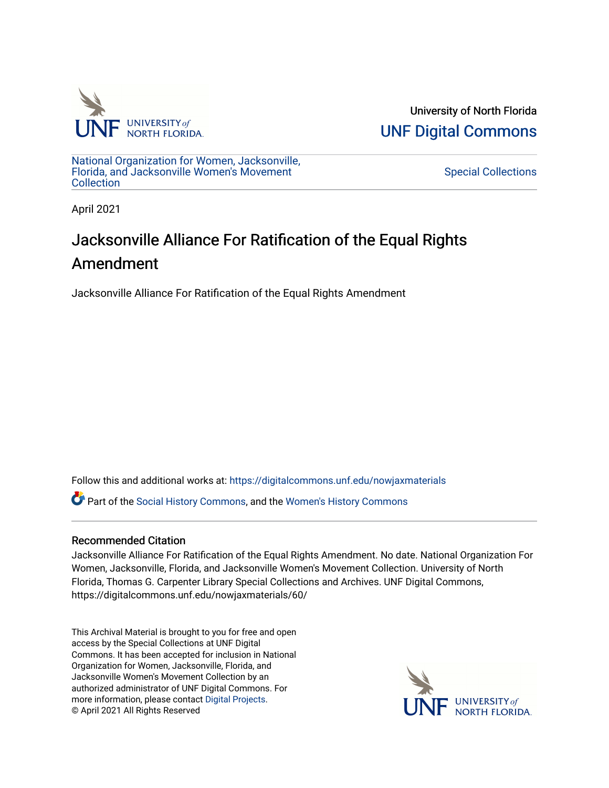

University of North Florida [UNF Digital Commons](https://digitalcommons.unf.edu/) 

[National Organization for Women, Jacksonville,](https://digitalcommons.unf.edu/nowjaxmaterials) [Florida, and Jacksonville Women's Movement](https://digitalcommons.unf.edu/nowjaxmaterials) **Collection** 

[Special Collections](https://digitalcommons.unf.edu/special_collections) 

April 2021

## Jacksonville Alliance For Ratification of the Equal Rights Amendment

Jacksonville Alliance For Ratification of the Equal Rights Amendment

Follow this and additional works at: [https://digitalcommons.unf.edu/nowjaxmaterials](https://digitalcommons.unf.edu/nowjaxmaterials?utm_source=digitalcommons.unf.edu%2Fnowjaxmaterials%2F60&utm_medium=PDF&utm_campaign=PDFCoverPages) 

Part of the [Social History Commons](http://network.bepress.com/hgg/discipline/506?utm_source=digitalcommons.unf.edu%2Fnowjaxmaterials%2F60&utm_medium=PDF&utm_campaign=PDFCoverPages), and the [Women's History Commons](http://network.bepress.com/hgg/discipline/507?utm_source=digitalcommons.unf.edu%2Fnowjaxmaterials%2F60&utm_medium=PDF&utm_campaign=PDFCoverPages)

## Recommended Citation

Jacksonville Alliance For Ratification of the Equal Rights Amendment. No date. National Organization For Women, Jacksonville, Florida, and Jacksonville Women's Movement Collection. University of North Florida, Thomas G. Carpenter Library Special Collections and Archives. UNF Digital Commons, https://digitalcommons.unf.edu/nowjaxmaterials/60/

This Archival Material is brought to you for free and open access by the Special Collections at UNF Digital Commons. It has been accepted for inclusion in National Organization for Women, Jacksonville, Florida, and Jacksonville Women's Movement Collection by an authorized administrator of UNF Digital Commons. For more information, please contact [Digital Projects](mailto:lib-digital@unf.edu). © April 2021 All Rights Reserved

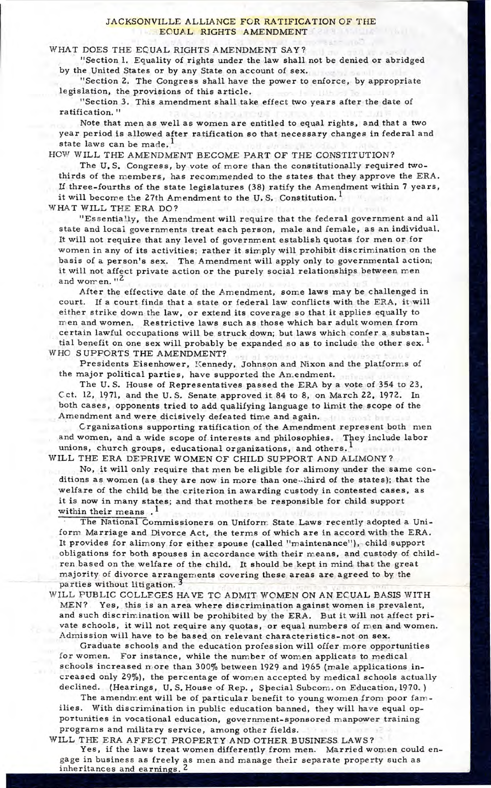## JACKSONVILLE ALLIANCE FOR RATIFICATION OF THE EOUAL RIGHTS AMENDMENT

## WHAT DOES THE EQUAL RIGHTS AMENDMENT SAY?

"Section 1. Equality of rights under the law shall not be denied or abridged by the United States or by any State on account of sex.

"Section 2. The Congress shall have the power to enforce, by appropriate legislation, the provisions of this article.

"Section 3. This amendment shall take effect two years after the date of ratification."

Note that men as well as women are entitled to equal rights, and that a two year period is allowed after ratification so that necessary changes in federal and state laws can be made.

HOW WILL THE AMENDMENT BECOME PART OF THE CONSTITUTION?

The U.S. Congress, by vote of more than the constitutionally required twothirds of the members, has recommended to the states that they approve the ERA. If three-fourths of the state legislatures (38) ratify the Amendment within 7 years, it will become the 27th Amendment to the U.S. Constitution.<sup>1</sup>

W HAT WILL THE ERA DO?

"Essentially, the Amendment will require that the federal government and all state and local governments treat each person, male and female, as an individual. It will not require that any level of government establish quotas for men or.for women in any of its activities; rather it simply will prohibit discrimination on the basis of a person's sex. The Amendment will apply only to governmental action; it will not affect private action or the purely social relationships between men and women."

After the effective date of the Amendment, some laws may be challenged in court. If a court finds that a state or federal law conflicts with the ERA, it will either strike down the law, or extend its coverage so that it applies equally to men and women. Restrictive laws such as those which bar adult women from certain lawful occupations will be struck down; but laws which confer a substantial benefit on one sex will probably be expanded so as to include the other sex.  $^{1}$ W HO SUPPORTS THE AMENDMENT?

Presidents Eisenhower, Kennedy, Johnson and Nixon and the platforms of the major political parties, have supported the An.endment.

The U.S. House of Representatives passed the ERA by a vote of 354 to 23, Cct. 12, 1971, and the U.S. Senate approved it 84 to 8, on March 22, 1972. In both cases, opponents tried to add qualifying language to lim it the scope of the Amendment and were dicisively defeated time and again.

Crganizations supporting ratification of the Amendment represent both men and women, and a wide scope of interests and philosophies. They include labor unions, church groups, educational organizations, and others.<sup>1</sup>

WILL THE ERA DEPRIVE WOMEN OF CHILD SUPPORT AND ALIMONY? No, it will only require that men be eligible for alimony under the same conditions as women (as they are now in more than one-third of the states); that the welfare of the child be the criterion in awarding custody in contested cases, as it is now in many states; and that mothers be responsible for child support within their means  $\cdot$ <sup>1</sup>

The National Commissioners on Uniform State Laws recently adopted a Uniform Marriage and Divorce Act, the terms of which are in accord with the ERA. It provides for alimony for either spouse (called "maintenance"), child support obligations for both spouses in accordance with their means, and custody of children based on the welfare of the child. It should be kept in mind that the great majority of divorce arrangements covering these areas are agreed to by the parfies without litigation.

WILL PUBLIC COLLEGES HAVE TO ADMIT WOMEN ON AN ECUAL BASIS WITH MEN? Yes, this is an area where discrimination against women is prevalent, and such discrimination will be prohibited by the ERA. But it will not affect private schools, it will not require any quotas, or equal numbers of men and women. A dmission will have to be based on relevant characteristics-not on **sex.** 

Graduate schools and the education profession will offer more opportunities for women. For instance, while the number of women applicats to medical schools increased more than 300% between 1929 and 1965 (male applications increased only 29%), the percentage of women accepted by medical schools actually declined. (Hearings, U.S. House of Rep., Special Subcom. on Education, 1970.)

The amendment will be of particular benefit to young women from poor families. With discrimination in public education banned, they will have equal opportunities in vocational education, government-sponsored manpower training programs and military service, among other fields.

WILL THE ERA AFFECT PROPERTY AND OTHER BUSINESS LAWS?

Yes, if the laws treat women differently from men. Married women could enga ge in business as freely as men and manage their separate property such as inheritances and earnings.<sup>2</sup>